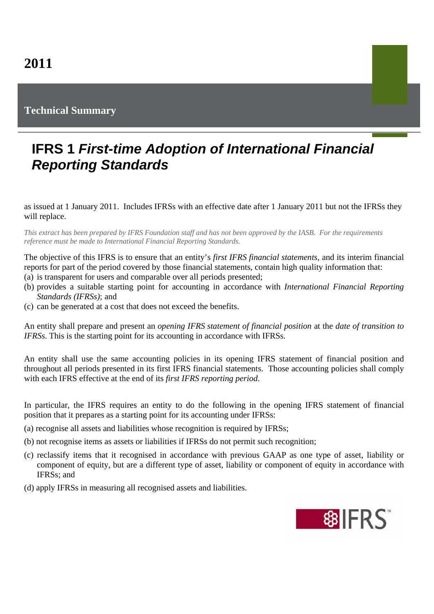## **2011**

**Technical Summary** 

## **IFRS 1** *First-time Adoption of International Financial Reporting Standards*

as issued at 1 January 2011. Includes IFRSs with an effective date after 1 January 2011 but not the IFRSs they will replace.

*This extract has been prepared by IFRS Foundation staff and has not been approved by the IASB. For the requirements reference must be made to International Financial Reporting Standards.*

The objective of this IFRS is to ensure that an entity's *first IFRS financial statements*, and its interim financial reports for part of the period covered by those financial statements, contain high quality information that: (a) is transparent for users and comparable over all periods presented;

- (b) provides a suitable starting point for accounting in accordance with *International Financial Reporting Standards (IFRSs)*; and
- (c) can be generated at a cost that does not exceed the benefits.

An entity shall prepare and present an *opening IFRS statement of financial position* at the *date of transition to IFRSs*. This is the starting point for its accounting in accordance with IFRSs.

An entity shall use the same accounting policies in its opening IFRS statement of financial position and throughout all periods presented in its first IFRS financial statements. Those accounting policies shall comply with each IFRS effective at the end of its *first IFRS reporting period*.

In particular, the IFRS requires an entity to do the following in the opening IFRS statement of financial position that it prepares as a starting point for its accounting under IFRSs:

- (a) recognise all assets and liabilities whose recognition is required by IFRSs;
- (b) not recognise items as assets or liabilities if IFRSs do not permit such recognition;
- (c) reclassify items that it recognised in accordance with previous GAAP as one type of asset, liability or component of equity, but are a different type of asset, liability or component of equity in accordance with IFRSs; and
- (d) apply IFRSs in measuring all recognised assets and liabilities.